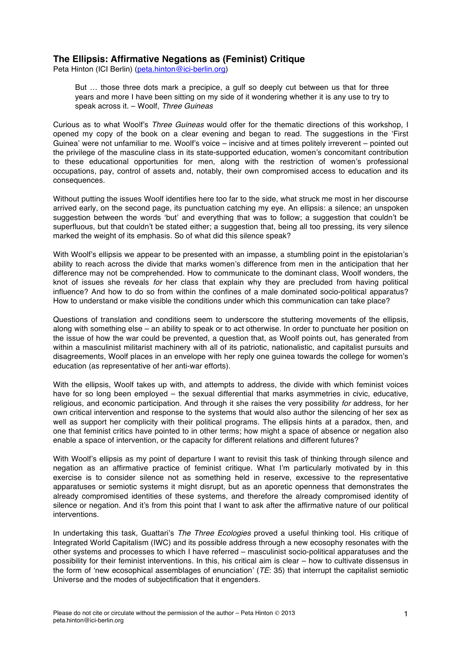## **The Ellipsis: Affirmative Negations as (Feminist) Critique**

Peta Hinton (ICI Berlin) (peta.hinton@ici-berlin.org)

But … those three dots mark a precipice, a gulf so deeply cut between us that for three years and more I have been sitting on my side of it wondering whether it is any use to try to speak across it. – Woolf, *Three Guineas*

Curious as to what Woolf's *Three Guineas* would offer for the thematic directions of this workshop, I opened my copy of the book on a clear evening and began to read. The suggestions in the 'First Guinea' were not unfamiliar to me. Woolf's voice – incisive and at times politely irreverent – pointed out the privilege of the masculine class in its state-supported education, women's concomitant contribution to these educational opportunities for men, along with the restriction of women's professional occupations, pay, control of assets and, notably, their own compromised access to education and its consequences.

Without putting the issues Woolf identifies here too far to the side, what struck me most in her discourse arrived early, on the second page, its punctuation catching my eye. An ellipsis: a silence; an unspoken suggestion between the words 'but' and everything that was to follow; a suggestion that couldn't be superfluous, but that couldn't be stated either; a suggestion that, being all too pressing, its very silence marked the weight of its emphasis. So of what did this silence speak?

With Woolf's ellipsis we appear to be presented with an impasse, a stumbling point in the epistolarian's ability to reach across the divide that marks women's difference from men in the anticipation that her difference may not be comprehended. How to communicate to the dominant class, Woolf wonders, the knot of issues she reveals *for* her class that explain why they are precluded from having political influence? And how to do so from within the confines of a male dominated socio-political apparatus? How to understand or make visible the conditions under which this communication can take place?

Questions of translation and conditions seem to underscore the stuttering movements of the ellipsis, along with something else – an ability to speak or to act otherwise. In order to punctuate her position on the issue of how the war could be prevented, a question that, as Woolf points out, has generated from within a masculinist militarist machinery with all of its patriotic, nationalistic, and capitalist pursuits and disagreements, Woolf places in an envelope with her reply one guinea towards the college for women's education (as representative of her anti-war efforts).

With the ellipsis, Woolf takes up with, and attempts to address, the divide with which feminist voices have for so long been employed – the sexual differential that marks asymmetries in civic, educative, religious, and economic participation. And through it she raises the very possibility *for* address, for her own critical intervention and response to the systems that would also author the silencing of her sex as well as support her complicity with their political programs. The ellipsis hints at a paradox, then, and one that feminist critics have pointed to in other terms; how might a space of absence or negation also enable a space of intervention, or the capacity for different relations and different futures?

With Woolf's ellipsis as my point of departure I want to revisit this task of thinking through silence and negation as an affirmative practice of feminist critique. What I'm particularly motivated by in this exercise is to consider silence not as something held in reserve, excessive to the representative apparatuses or semiotic systems it might disrupt, but as an aporetic openness that demonstrates the already compromised identities of these systems, and therefore the already compromised identity of silence or negation. And it's from this point that I want to ask after the affirmative nature of our political interventions.

In undertaking this task, Guattari's *The Three Ecologies* proved a useful thinking tool. His critique of Integrated World Capitalism (IWC) and its possible address through a new ecosophy resonates with the other systems and processes to which I have referred – masculinist socio-political apparatuses and the possibility for their feminist interventions. In this, his critical aim is clear – how to cultivate dissensus in the form of 'new ecosophical assemblages of enunciation' (*TE*: 35) that interrupt the capitalist semiotic Universe and the modes of subjectification that it engenders.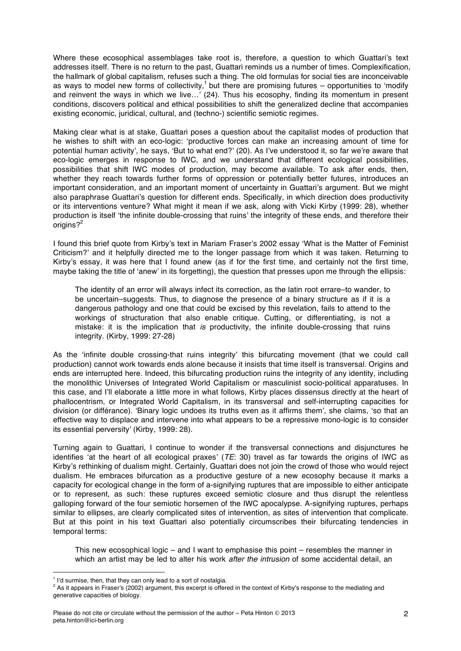Where these ecosophical assemblages take root is, therefore, a question to which Guattari's text addresses itself. There is no return to the past, Guattari reminds us a number of times. Complexification, the hallmark of global capitalism, refuses such a thing. The old formulas for social ties are inconceivable as ways to model new forms of collectivity,<sup>1</sup> but there are promising futures – opportunities to 'modify and reinvent the ways in which we live…' (24). Thus his ecosophy, finding its momentum in present conditions, discovers political and ethical possibilities to shift the generalized decline that accompanies existing economic, juridical, cultural, and (techno-) scientific semiotic regimes.

Making clear what is at stake, Guattari poses a question about the capitalist modes of production that he wishes to shift with an eco-logic: 'productive forces can make an increasing amount of time for potential human activity', he says, 'But to what end?' (20). As I've understood it, so far we're aware that eco-logic emerges in response to IWC, and we understand that different ecological possibilities, possibilities that shift IWC modes of production, may become available. To ask after ends, then, whether they reach towards further forms of oppression or potentially better futures, introduces an important consideration, and an important moment of uncertainty in Guattari's argument. But we might also paraphrase Guattari's question for different ends. Specifically, in which direction does productivity or its interventions venture? What might it mean if we ask, along with Vicki Kirby (1999: 28), whether production is itself 'the infinite double-crossing that ruins' the integrity of these ends, and therefore their origins? $2^2$ 

I found this brief quote from Kirby's text in Mariam Fraser's 2002 essay 'What is the Matter of Feminist Criticism?' and it helpfully directed me to the longer passage from which it was taken. Returning to Kirby's essay, it was here that I found anew (as if for the first time, and certainly not the first time, maybe taking the title of 'anew' in its forgetting), the question that presses upon me through the ellipsis:

The identity of an error will always infect its correction, as the latin root errare–to wander, to be uncertain–suggests. Thus, to diagnose the presence of a binary structure as if it is a dangerous pathology and one that could be excised by this revelation, fails to attend to the workings of structuration that also enable critique. Cutting, or differentiating, is not a mistake: it is the implication that *is* productivity, the infinite double-crossing that ruins integrity. (Kirby, 1999: 27-28)

As the 'infinite double crossing-that ruins integrity' this bifurcating movement (that we could call production) cannot work towards ends alone because it insists that time itself is transversal. Origins and ends are interrupted here. Indeed, this bifurcating production ruins the integrity of any identity, including the monolithic Universes of Integrated World Capitalism or masculinist socio-political apparatuses. In this case, and I'll elaborate a little more in what follows, Kirby places dissensus directly at the heart of phallocentrism, or Integrated World Capitalism, in its transversal and self-interrupting capacities for division (or différance). 'Binary logic undoes its truths even as it affirms them', she claims, 'so that an effective way to displace and intervene into what appears to be a repressive mono-logic is to consider its essential perversity' (Kirby, 1999: 28).

Turning again to Guattari, I continue to wonder if the transversal connections and disjunctures he identifies 'at the heart of all ecological praxes' (*TE*: 30) travel as far towards the origins of IWC as Kirby's rethinking of dualism might. Certainly, Guattari does not join the crowd of those who would reject dualism. He embraces bifurcation as a productive gesture of a new ecosophy because it marks a capacity for ecological change in the form of a-signifying ruptures that are impossible to either anticipate or to represent, as such: these ruptures exceed semiotic closure and thus disrupt the relentless galloping forward of the four semiotic horsemen of the IWC apocalypse. A-signifying ruptures, perhaps similar to ellipses, are clearly complicated sites of intervention, as sites of intervention that complicate. But at this point in his text Guattari also potentially circumscribes their bifurcating tendencies in temporal terms:

This new ecosophical logic – and I want to emphasise this point – resembles the manner in which an artist may be led to alter his work *after the intrusion* of some accidental detail, an

 

 $<sup>1</sup>$  I'd surmise, then, that they can only lead to a sort of nostalgia.</sup>

<sup>&</sup>lt;sup>2</sup> As it appears in Fraser's (2002) argument, this excerpt is offered in the context of Kirby's response to the mediating and generative capacities of biology.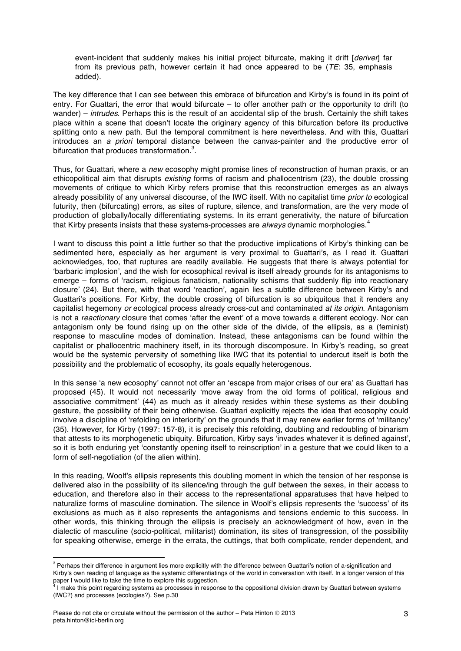event-incident that suddenly makes his initial project bifurcate, making it drift [*deriver*] far from its previous path, however certain it had once appeared to be (*TE*: 35, emphasis added).

The key difference that I can see between this embrace of bifurcation and Kirby's is found in its point of entry. For Guattari, the error that would bifurcate – to offer another path or the opportunity to drift (to wander) – *intrudes*. Perhaps this is the result of an accidental slip of the brush. Certainly the shift takes place within a scene that doesn't locate the originary agency of this bifurcation before its productive splitting onto a new path. But the temporal commitment is here nevertheless. And with this, Guattari introduces an *a priori* temporal distance between the canvas-painter and the productive error of bifurcation that produces transformation.<sup>3</sup>.

Thus, for Guattari, where a *new* ecosophy might promise lines of reconstruction of human praxis, or an ethicopolitical aim that disrupts *existing* forms of racism and phallocentrism (23), the double crossing movements of critique to which Kirby refers promise that this reconstruction emerges as an always already possibility of any universal discourse, of the IWC itself. With no capitalist time *prior to* ecological futurity, then (bifurcating) errors, as sites of rupture, silence, and transformation, are the very mode of production of globally/locally differentiating systems. In its errant generativity, the nature of bifurcation that Kirby presents insists that these systems-processes are *always* dynamic morphologies.<sup>4</sup>

I want to discuss this point a little further so that the productive implications of Kirby's thinking can be sedimented here, especially as her argument is very proximal to Guattari's, as I read it. Guattari acknowledges, too, that ruptures are readily available. He suggests that there is always potential for 'barbaric implosion', and the wish for ecosophical revival is itself already grounds for its antagonisms to emerge – forms of 'racism, religious fanaticism, nationality schisms that suddenly flip into reactionary closure' (24). But there, with that word 'reaction', again lies a subtle difference between Kirby's and Guattari's positions. For Kirby, the double crossing of bifurcation is so ubiquitous that it renders any capitalist hegemony *or* ecological process already cross-cut and contaminated *at its origin*. Antagonism is not a *reactionary* closure that comes 'after the event' of a move towards a different ecology. Nor can antagonism only be found rising up on the other side of the divide, of the ellipsis, as a (feminist) response to masculine modes of domination. Instead, these antagonisms can be found within the capitalist or phallocentric machinery itself, in its thorough discomposure. In Kirby's reading, so great would be the systemic perversity of something like IWC that its potential to undercut itself is both the possibility and the problematic of ecosophy, its goals equally heterogenous.

In this sense 'a new ecosophy' cannot not offer an 'escape from major crises of our era' as Guattari has proposed (45). It would not necessarily 'move away from the old forms of political, religious and associative commitment' (44) as much as it already resides within these systems as their doubling gesture, the possibility of their being otherwise. Guattari explicitly rejects the idea that ecosophy could involve a discipline of 'refolding on interiority' on the grounds that it may renew earlier forms of 'militancy' (35). However, for Kirby (1997: 157-8), it is precisely this refolding, doubling and redoubling of binarism that attests to its morphogenetic ubiquity. Bifurcation, Kirby says 'invades whatever it is defined against', so it is both enduring yet 'constantly opening itself to reinscription' in a gesture that we could liken to a form of self-negotiation (of the alien within).

In this reading, Woolf's ellipsis represents this doubling moment in which the tension of her response is delivered also in the possibility of its silence/ing through the gulf between the sexes, in their access to education, and therefore also in their access to the representational apparatuses that have helped to naturalize forms of masculine domination. The silence in Woolf's ellipsis represents the 'success' of its exclusions as much as it also represents the antagonisms and tensions endemic to this success. In other words, this thinking through the ellipsis is precisely an acknowledgment of how, even in the dialectic of masculine (socio-political, militarist) domination, its sites of transgression, of the possibility for speaking otherwise, emerge in the errata, the cuttings, that both complicate, render dependent, and

 

<sup>&</sup>lt;sup>3</sup> Perhaps their difference in argument lies more explicitly with the difference between Guattari's notion of a-signification and Kirby's own reading of language as the systemic differentiatings of the world in conversation with itself. In a longer version of this paper I would like to take the time to explore this suggestion.

I make this point regarding systems as processes in response to the oppositional division drawn by Guattari between systems (IWC?) and processes (ecologies?). See p.30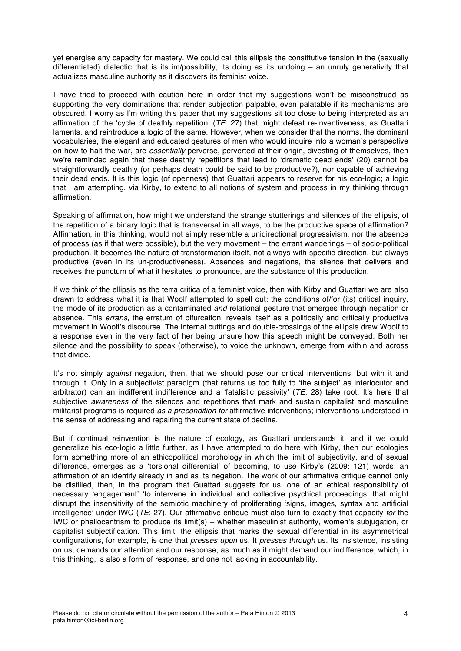yet energise any capacity for mastery. We could call this ellipsis the constitutive tension in the (sexually differentiated) dialectic that is its im/possibility, its doing as its undoing – an unruly generativity that actualizes masculine authority as it discovers its feminist voice.

I have tried to proceed with caution here in order that my suggestions won't be misconstrued as supporting the very dominations that render subjection palpable, even palatable if its mechanisms are obscured. I worry as I'm writing this paper that my suggestions sit too close to being interpreted as an affirmation of the 'cycle of deathly repetition' (*TE*: 27) that might defeat re-inventiveness, as Guattari laments, and reintroduce a logic of the same. However, when we consider that the norms, the dominant vocabularies, the elegant and educated gestures of men who would inquire into a woman's perspective on how to halt the war, are *essentially* perverse, perverted at their origin, divesting of themselves, then we're reminded again that these deathly repetitions that lead to 'dramatic dead ends' (20) cannot be straightforwardly deathly (or perhaps death could be said to be productive?), nor capable of achieving their dead ends. It is this logic (of openness) that Guattari appears to reserve for his eco-logic; a logic that I am attempting, via Kirby, to extend to all notions of system and process in my thinking through affirmation.

Speaking of affirmation, how might we understand the strange stutterings and silences of the ellipsis, of the repetition of a binary logic that is transversal in all ways, to be the productive space of affirmation? Affirmation, in this thinking, would not simply resemble a unidirectional progressivism, nor the absence of process (as if that were possible), but the very movement – the errant wanderings – of socio-political production. It becomes the nature of transformation itself, not always with specific direction, but always productive (even in its un-productiveness). Absences and negations, the silence that delivers and receives the punctum of what it hesitates to pronounce, are the substance of this production.

If we think of the ellipsis as the terra critica of a feminist voice, then with Kirby and Guattari we are also drawn to address what it is that Woolf attempted to spell out: the conditions of/for (its) critical inquiry, the mode of its production as a contaminated *and* relational gesture that emerges through negation or absence. This *errans*, the erratum of bifurcation, reveals itself as a politically and critically productive movement in Woolf's discourse. The internal cuttings and double-crossings of the ellipsis draw Woolf to a response even in the very fact of her being unsure how this speech might be conveyed. Both her silence and the possibility to speak (otherwise), to voice the unknown, emerge from within and across that divide.

It's not simply *against* negation, then, that we should pose our critical interventions, but with it and through it. Only in a subjectivist paradigm (that returns us too fully to 'the subject' as interlocutor and arbitrator) can an indifferent indifference and a 'fatalistic passivity' (*TE*: 28) take root. It's here that subjective *awareness* of the silences and repetitions that mark and sustain capitalist and masculine militarist programs is required *as a precondition for* affirmative interventions; interventions understood in the sense of addressing and repairing the current state of decline.

But if continual reinvention is the nature of ecology, as Guattari understands it, and if we could generalize his eco-logic a little further, as I have attempted to do here with Kirby, then our ecologies form something more of an ethicopolitical morphology in which the limit of subjectivity, and of sexual difference, emerges as a 'torsional differential' of becoming, to use Kirby's (2009: 121) words: an affirmation of an identity already in and as its negation. The work of our affirmative critique cannot only be distilled, then, in the program that Guattari suggests for us: one of an ethical responsibility of necessary 'engagement' 'to intervene in individual and collective psychical proceedings' that might disrupt the insensitivity of the semiotic machinery of proliferating 'signs, images, syntax and artificial intelligence' under IWC (*TE*: 27). Our affirmative critique must also turn to exactly that capacity *for* the IWC or phallocentrism to produce its limit(s) – whether masculinist authority, women's subjugation, or capitalist subjectification. This limit, the ellipsis that marks the sexual differential in its asymmetrical configurations, for example, is one that *presses upon* us. It *presses through* us. Its insistence, insisting on us, demands our attention and our response, as much as it might demand our indifference, which, in this thinking, is also a form of response, and one not lacking in accountability.